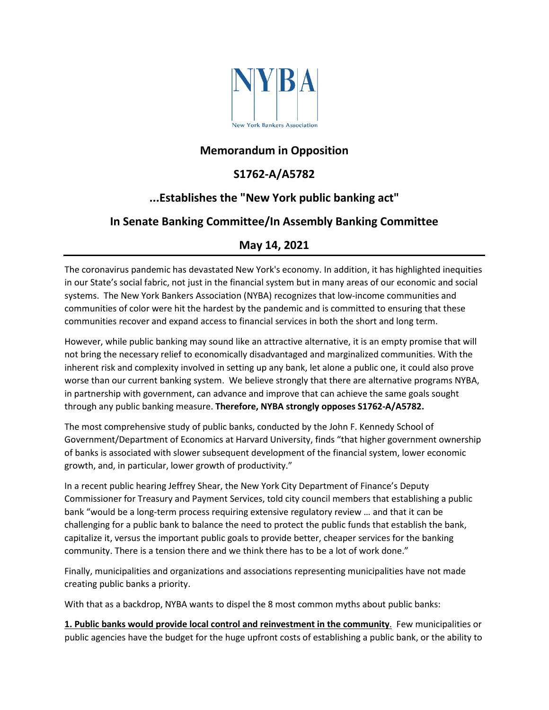

#### **Memorandum in Opposition**

# **S1762-A/A5782**

# **...Establishes the "New York public banking act"**

# **In Senate Banking Committee/In Assembly Banking Committee**

#### **May 14, 2021**

The coronavirus pandemic has devastated New York's economy. In addition, it has highlighted inequities in our State's social fabric, not just in the financial system but in many areas of our economic and social systems. The New York Bankers Association (NYBA) recognizes that low-income communities and communities of color were hit the hardest by the pandemic and is committed to ensuring that these communities recover and expand access to financial services in both the short and long term.

However, while public banking may sound like an attractive alternative, it is an empty promise that will not bring the necessary relief to economically disadvantaged and marginalized communities. With the inherent risk and complexity involved in setting up any bank, let alone a public one, it could also prove worse than our current banking system. We believe strongly that there are alternative programs NYBA, in partnership with government, can advance and improve that can achieve the same goals sought through any public banking measure. **Therefore, NYBA strongly opposes S1762-A/A5782.**

The most comprehensive study of public banks, conducted by the John F. Kennedy School of Government/Department of Economics at Harvard University, finds "that higher government ownership of banks is associated with slower subsequent development of the financial system, lower economic growth, and, in particular, lower growth of productivity."

In a recent public hearing Jeffrey Shear, the New York City Department of Finance's Deputy Commissioner for Treasury and Payment Services, told city council members that establishing a public bank "would be a [long-term process requiring extensive regulatory review](https://citylimits.org/2020/09/29/council-bills-could-pave-the-way-for-a-public-bank-in-nyc/) … and that it can be challenging for a public bank to balance the need to protect the public funds that establish the bank, capitalize it, versus the important public goals to provide better, cheaper services for the banking community. There is a tension there and we think there has to be a lot of work done."

Finally, municipalities and organizations and associations representing municipalities have not made creating public banks a priority.

With that as a backdrop, NYBA wants to dispel the 8 most common myths about public banks:

**1. Public banks would provide local control and reinvestment in the community**. Few municipalities or public agencies have the budget for the huge upfront costs of establishing a public bank, or the ability to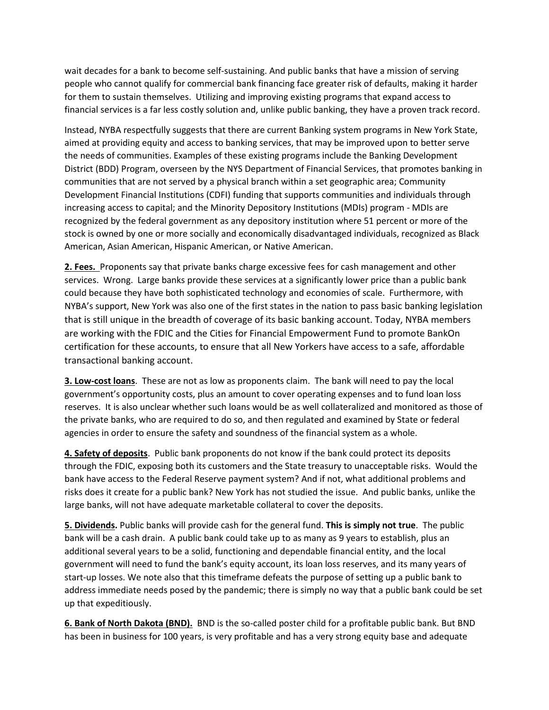wait decades for a bank to become self-sustaining. And public banks that have a mission of serving people who cannot qualify for commercial bank financing face greater risk of defaults, making it harder for them to sustain themselves. Utilizing and improving existing programs that expand access to financial services is a far less costly solution and, unlike public banking, they have a proven track record.

Instead, NYBA respectfully suggests that there are current Banking system programs in New York State, aimed at providing equity and access to banking services, that may be improved upon to better serve the needs of communities. Examples of these existing programs include the Banking Development District (BDD) Program, overseen by the NYS Department of Financial Services, that promotes banking in communities that are not served by a physical branch within a set geographic area; Community Development Financial Institutions (CDFI) funding that supports communities and individuals through increasing access to capital; and the Minority Depository Institutions (MDIs) program - MDIs are recognized by the federal government as any depository institution where 51 percent or more of the stock is owned by one or more socially and economically disadvantaged individuals, recognized as Black American, Asian American, Hispanic American, or Native American.

**2. Fees.** Proponents say that private banks charge excessive fees for cash management and other services. Wrong. Large banks provide these services at a significantly lower price than a public bank could because they have both sophisticated technology and economies of scale. Furthermore, with NYBA's support, New York was also one of the first states in the nation to pass basic banking legislation that is still unique in the breadth of coverage of its basic banking account. Today, NYBA members are working with the FDIC and the Cities for Financial Empowerment Fund to promote BankOn certification for these accounts, to ensure that all New Yorkers have access to a safe, affordable transactional banking account.

**3. Low-cost loans**. These are not as low as proponents claim. The bank will need to pay the local government's opportunity costs, plus an amount to cover operating expenses and to fund loan loss reserves. It is also unclear whether such loans would be as well collateralized and monitored as those of the private banks, who are required to do so, and then regulated and examined by State or federal agencies in order to ensure the safety and soundness of the financial system as a whole.

**4. Safety of deposits**. Public bank proponents do not know if the bank could protect its deposits through the FDIC, exposing both its customers and the State treasury to unacceptable risks. Would the bank have access to the Federal Reserve payment system? And if not, what additional problems and risks does it create for a public bank? New York has not studied the issue. And public banks, unlike the large banks, will not have adequate marketable collateral to cover the deposits.

**5. Dividends.** Public banks will provide cash for the general fund. **This is simply not true**. The public bank will be a cash drain. A public bank could take up to as many as 9 years to establish, plus an additional several years to be a solid, functioning and dependable financial entity, and the local government will need to fund the bank's equity account, its loan loss reserves, and its many years of start-up losses. We note also that this timeframe defeats the purpose of setting up a public bank to address immediate needs posed by the pandemic; there is simply no way that a public bank could be set up that expeditiously.

**6. Bank of North Dakota (BND).** BND is the so-called poster child for a profitable public bank. But BND has been in business for 100 years, is very profitable and has a very strong equity base and adequate